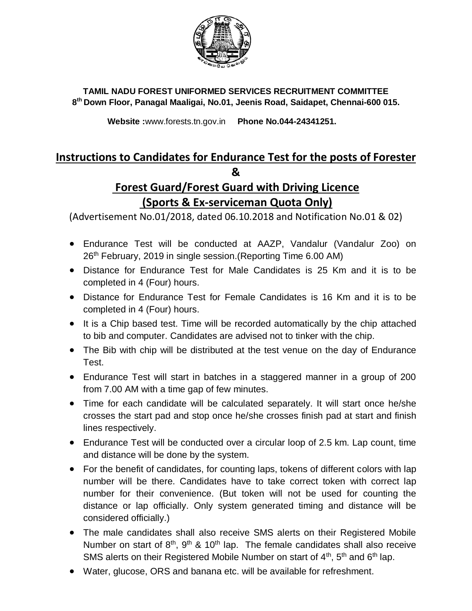

## **TAMIL NADU FOREST UNIFORMED SERVICES RECRUITMENT COMMITTEE 8 th Down Floor, Panagal Maaligai, No.01, Jeenis Road, Saidapet, Chennai-600 015.**

 **Website :**www.forests.tn.gov.in **Phone No.044-24341251.**

## **Instructions to Candidates for Endurance Test for the posts of Forester &**

## **Forest Guard/Forest Guard with Driving Licence (Sports & Ex-serviceman Quota Only)**

(Advertisement No.01/2018, dated 06.10.2018 and Notification No.01 & 02)

- Endurance Test will be conducted at AAZP, Vandalur (Vandalur Zoo) on 26<sup>th</sup> February, 2019 in single session. (Reporting Time 6.00 AM)
- Distance for Endurance Test for Male Candidates is 25 Km and it is to be completed in 4 (Four) hours.
- Distance for Endurance Test for Female Candidates is 16 Km and it is to be completed in 4 (Four) hours.
- It is a Chip based test. Time will be recorded automatically by the chip attached to bib and computer. Candidates are advised not to tinker with the chip.
- The Bib with chip will be distributed at the test venue on the day of Endurance Test.
- Endurance Test will start in batches in a staggered manner in a group of 200 from 7.00 AM with a time gap of few minutes.
- Time for each candidate will be calculated separately. It will start once he/she crosses the start pad and stop once he/she crosses finish pad at start and finish lines respectively.
- Endurance Test will be conducted over a circular loop of 2.5 km. Lap count, time and distance will be done by the system.
- For the benefit of candidates, for counting laps, tokens of different colors with lap number will be there. Candidates have to take correct token with correct lap number for their convenience. (But token will not be used for counting the distance or lap officially. Only system generated timing and distance will be considered officially.)
- The male candidates shall also receive SMS alerts on their Registered Mobile Number on start of  $8<sup>th</sup>$ ,  $9<sup>th</sup>$  & 10<sup>th</sup> lap. The female candidates shall also receive SMS alerts on their Registered Mobile Number on start of  $4<sup>th</sup>$ ,  $5<sup>th</sup>$  and  $6<sup>th</sup>$  lap.
- Water, glucose, ORS and banana etc. will be available for refreshment.